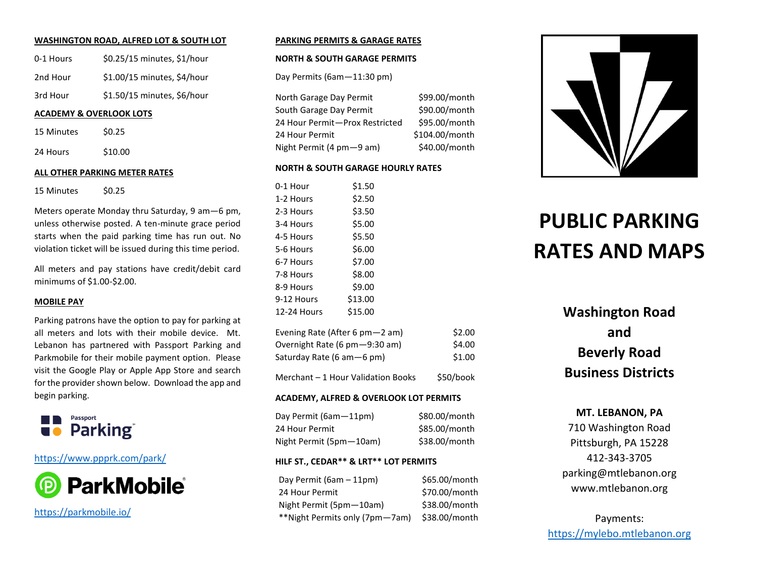#### **WASHINGTON ROAD, ALFRED LOT & SOUTH LOT**

| 0-1 Hours | \$0.25/15 minutes, \$1/hour |
|-----------|-----------------------------|
| 2nd Hour  | \$1.00/15 minutes, \$4/hour |
| 3rd Hour  | \$1.50/15 minutes, \$6/hour |

#### **ACADEMY & OVERLOOK LOTS**

15 Minutes \$0.25

24 Hours \$10.00

#### **ALL OTHER PARKING METER RATES**

15 Minutes \$0.25

Meters operate Monday thru Saturday, 9 am—6 pm, unless otherwise posted. A ten-minute grace period starts when the paid parking time has run out. No violation ticket will be issued during this time period.

All meters and pay stations have credit/debit card minimums of \$1.00-\$2.00.

#### **MOBILE PAY**

Parking patrons have the option to pay for parking at all meters and lots with their mobile device. Mt. Lebanon has partnered with Passport Parking and Parkmobile for their mobile payment option. Please visit the Google Play or Apple App Store and search for the provider shown below. Download the app and begin parking.



### <https://www.ppprk.com/park/>



<https://parkmobile.io/>

#### **PARKING PERMITS & GARAGE RATES**

#### **NORTH & SOUTH GARAGE PERMITS**

Day Permits (6am—11:30 pm)

North Garage Day Permit \$99.00/month South Garage Day Permit \$90.00/month 24 Hour Permit-Prox Restricted \$95.00/month 24 Hour Permit \$104.00/month Night Permit (4 pm - 9 am) \$40.00/month

#### **NORTH & SOUTH GARAGE HOURLY RATES**

| \$1.50  |
|---------|
|         |
| \$2.50  |
| \$3.50  |
| \$5.00  |
| \$5.50  |
| \$6.00  |
| \$7.00  |
| \$8.00  |
| \$9.00  |
| \$13.00 |
| \$15.00 |
|         |

| Evening Rate (After 6 pm—2 am)  | \$2.00 |
|---------------------------------|--------|
| Overnight Rate (6 pm - 9:30 am) | \$4.00 |
| Saturday Rate (6 am—6 pm)       | \$1.00 |

Merchant – 1 Hour Validation Books \$50/book

#### **ACADEMY, ALFRED & OVERLOOK LOT PERMITS**

Day Permit (6am-11pm) \$80.00/month 24 Hour Permit \$85.00/month Night Permit (5pm-10am) \$38.00/month

#### **HILF ST., CEDAR\*\* & LRT\*\* LOT PERMITS**

Day Permit  $(6am - 11pm)$  \$65.00/month 24 Hour Permit \$70.00/month Night Permit (5pm—10am) \$38.00/month \*\*Night Permits only (7pm—7am) \$38.00/month



# **PUBLIC PARKING RATES AND MAPS**

## **Washington Road and Beverly Road Business Districts**

### **MT. LEBANON, PA**

710 Washington Road Pittsburgh, PA 15228 412-343-3705 parking@mtlebanon.org www.mtlebanon.org

Payments: [https://mylebo.mtlebanon.org](https://mylebo.mtlebanon.org/)